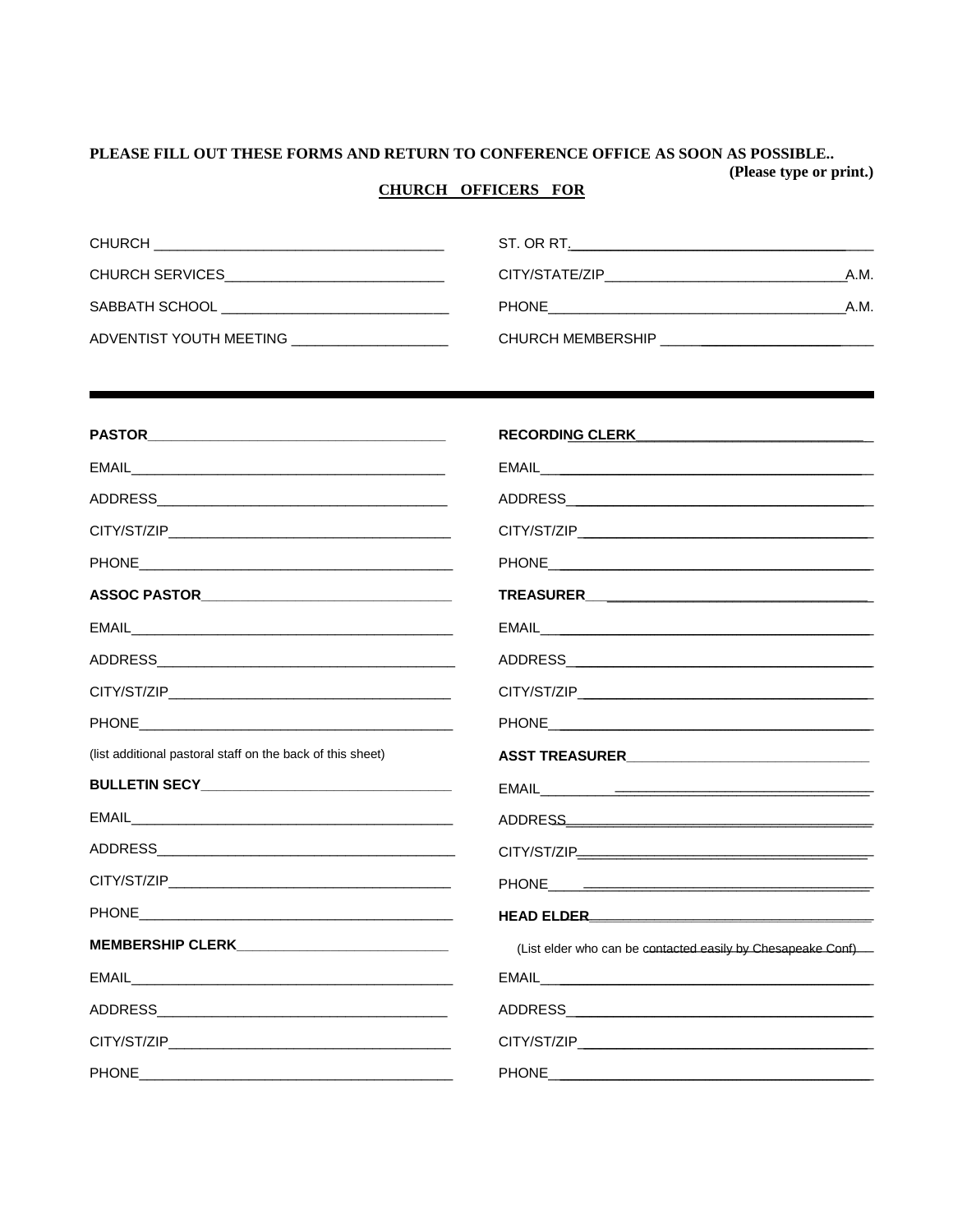## PLEASE FILL OUT THESE FORMS AND RETURN TO CONFERENCE OFFICE AS SOON AS POSSIBLE.. (Please type or print.)

## **CHURCH OFFICERS FOR**

| <b>CHURCH</b><br><u> 1989 - Johann Stein, mars ar yn y sefydlu yn y gwysiad y ganllawydd y ganllawydd y ganllawydd y ganllawydd y</u> | ST. OR RT.                                                                    |      |
|---------------------------------------------------------------------------------------------------------------------------------------|-------------------------------------------------------------------------------|------|
| CHURCH SERVICES                                                                                                                       | CITY/STATE/ZIP<br>the control of the control of the control of the control of | A.M. |
| SABBATH SCHOOL<br><u> 1989 - John Stein, Amerikaansk politiker († 1908)</u>                                                           | <b>PHONE</b>                                                                  | A.M. |
| ADVENTIST YOUTH MEETING                                                                                                               | <b>CHURCH MEMBERSHIP</b>                                                      |      |

|                                                            | RECORDING CLERK <b>Andrew Property Clerk</b>                 |  |  |
|------------------------------------------------------------|--------------------------------------------------------------|--|--|
|                                                            |                                                              |  |  |
|                                                            |                                                              |  |  |
|                                                            |                                                              |  |  |
|                                                            |                                                              |  |  |
| ASSOC PASTOR_________________________________              |                                                              |  |  |
|                                                            |                                                              |  |  |
|                                                            |                                                              |  |  |
|                                                            |                                                              |  |  |
|                                                            |                                                              |  |  |
| (list additional pastoral staff on the back of this sheet) |                                                              |  |  |
|                                                            |                                                              |  |  |
|                                                            |                                                              |  |  |
|                                                            |                                                              |  |  |
|                                                            |                                                              |  |  |
|                                                            | HEAD ELDER                                                   |  |  |
|                                                            | (List elder who can be contacted easily by Chesapeake Conf)- |  |  |
|                                                            |                                                              |  |  |
|                                                            |                                                              |  |  |
|                                                            |                                                              |  |  |
|                                                            |                                                              |  |  |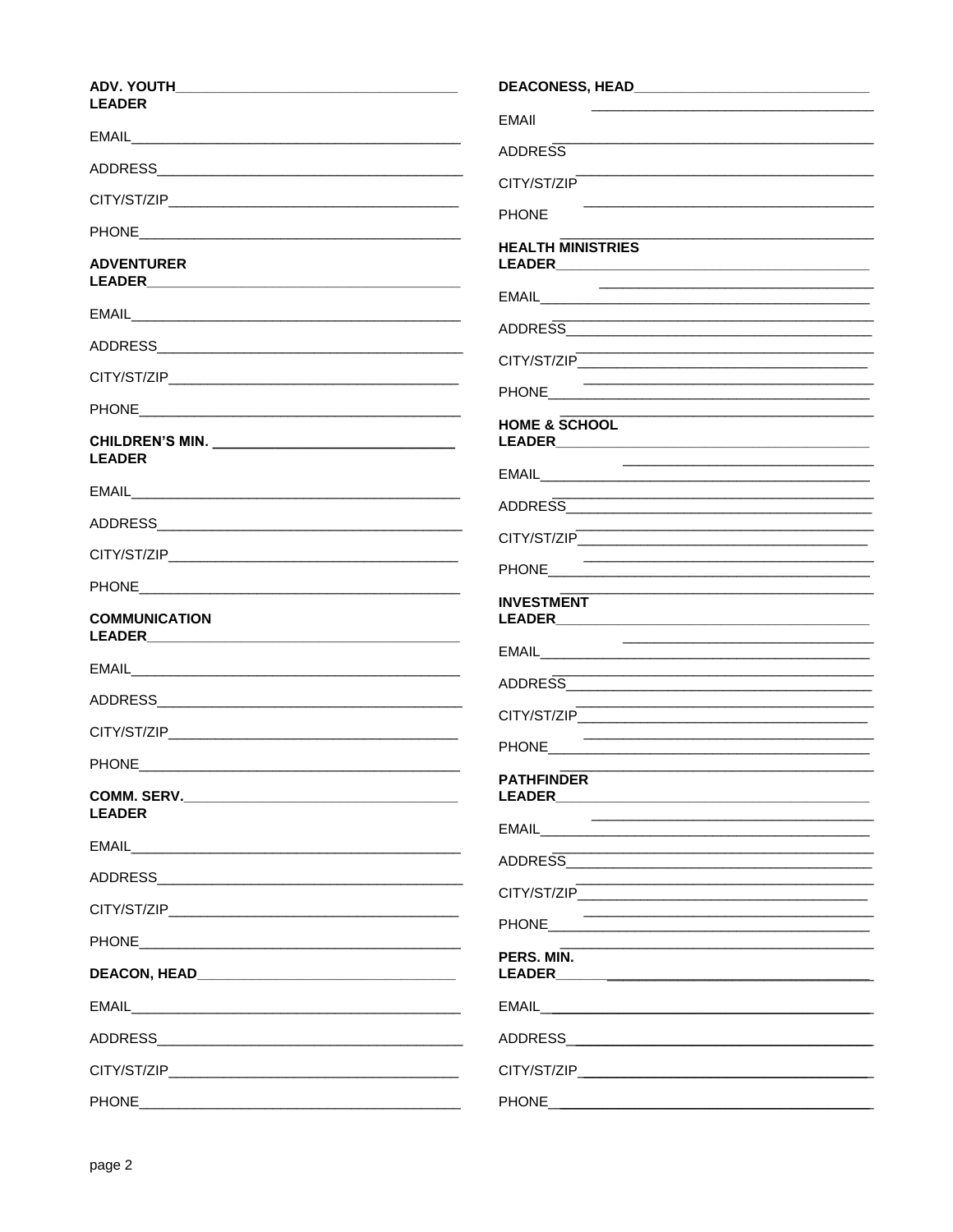| <b>LEADER</b>                |                                                                                                                                                                                     |
|------------------------------|-------------------------------------------------------------------------------------------------------------------------------------------------------------------------------------|
|                              | <b>EMAII</b>                                                                                                                                                                        |
|                              | <b>ADDRESS</b>                                                                                                                                                                      |
|                              | CITY/ST/ZIP                                                                                                                                                                         |
|                              | <b>PHONE</b>                                                                                                                                                                        |
| <b>ADVENTURER</b>            | <b>HEALTH MINISTRIES</b>                                                                                                                                                            |
|                              | <u> 2000 - Jan James James Jan James James James James James James James James James James James James James Jam</u>                                                                |
|                              | ADDRESS AND AND AND ANNUAL AND ANNUAL AND ANNUAL AND ANNUAL AND ANNUAL AND ANNUAL AND ANNUAL AND ANNUAL AND AN                                                                      |
|                              |                                                                                                                                                                                     |
|                              |                                                                                                                                                                                     |
| <b>LEADER</b>                | <b>HOME &amp; SCHOOL</b>                                                                                                                                                            |
|                              |                                                                                                                                                                                     |
|                              |                                                                                                                                                                                     |
|                              |                                                                                                                                                                                     |
|                              |                                                                                                                                                                                     |
| <b>COMMUNICATION</b>         | <b>INVESTMENT</b>                                                                                                                                                                   |
|                              |                                                                                                                                                                                     |
|                              | <u> 1989 - Johann John Stone, mars eta biztanleria (h. 1989).</u><br>ADDRESS AND AND AND ANNUAL AND ANNUAL AND ANNUAL AND ANNUAL AND ANNUAL AND ANNUAL AND ANNUAL AND ANNUAL AND AN |
|                              |                                                                                                                                                                                     |
|                              | PHONE <b>Example 20</b> PHONE <b>CONTRACT CONTRACT AND RESIDENCE</b>                                                                                                                |
|                              | <b>PATHFINDER</b>                                                                                                                                                                   |
| COMM. SERV.<br><b>LEADER</b> |                                                                                                                                                                                     |
|                              | EMAIL <b>EMAIL</b><br><u> 1989 - Johann John Stone, mars et al. 1989 - John Stone, mars et al. 1989 - John Stone, mars et al. 1989 - John Stone</u>                                 |
|                              |                                                                                                                                                                                     |
|                              | CITY/ST/ZIP<br><u> 1990 - Johann John Harry Harry Harry Harry Harry Harry Harry Harry Harry Harry Harry Harry Harry Harry Harry</u>                                                 |
|                              |                                                                                                                                                                                     |
|                              | PERS. MIN.<br>LEADER <b>Example 200</b>                                                                                                                                             |
|                              | EMAIL <b>EMAIL</b>                                                                                                                                                                  |
|                              |                                                                                                                                                                                     |
|                              |                                                                                                                                                                                     |
|                              |                                                                                                                                                                                     |
|                              |                                                                                                                                                                                     |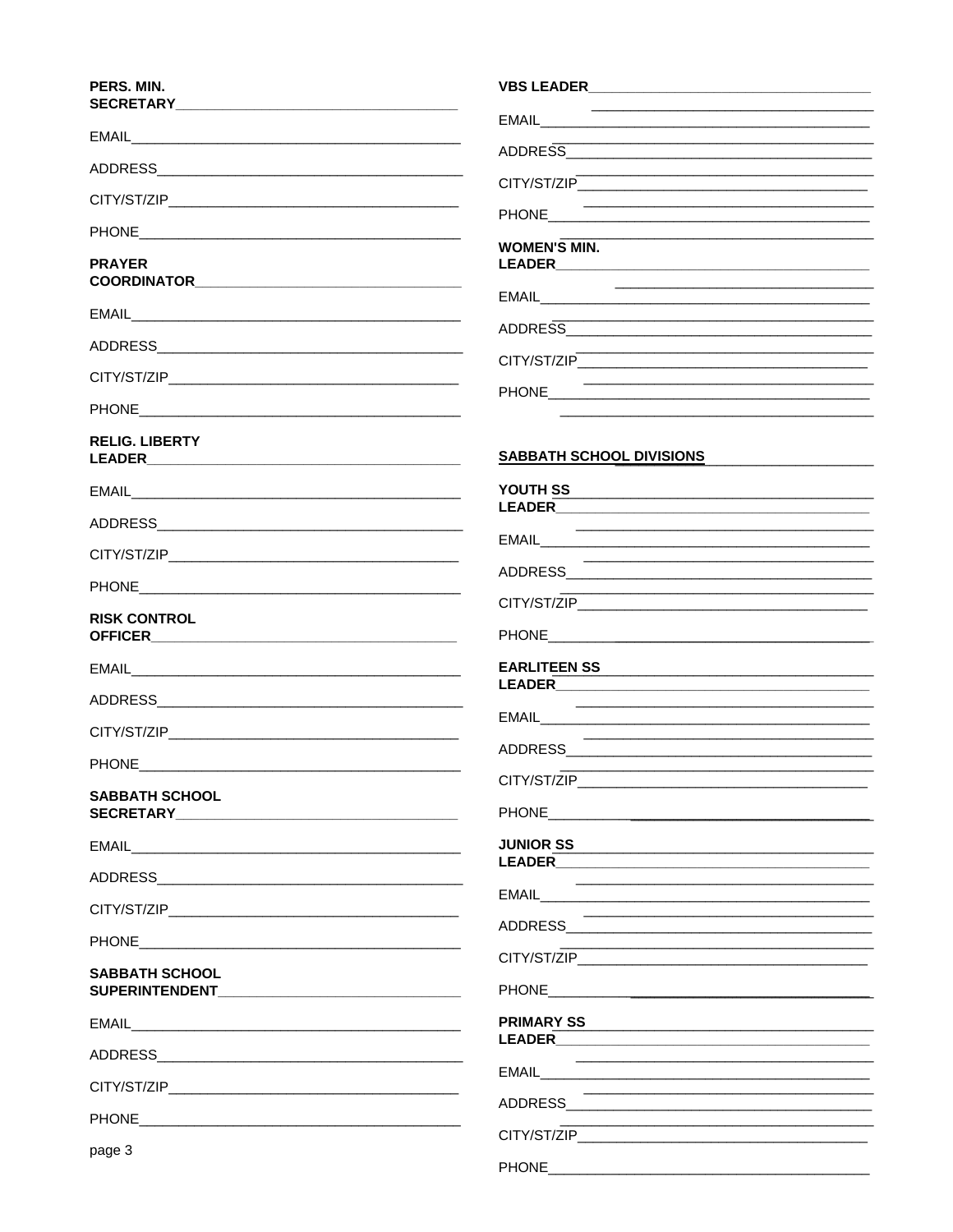## PERS. MIN. S

|                                             | <u> 1989 - Johann John Stein, markin fan it ferskearre fan it ferskearre fan it ferskearre fan it ferskearre fan </u>         |
|---------------------------------------------|-------------------------------------------------------------------------------------------------------------------------------|
|                                             |                                                                                                                               |
|                                             | <u> 1989 - Johann John Stone, mars et al. 1989 - John Stone, mars et al. 1989 - John Stone, mars et al. 1989 - John Stone</u> |
|                                             | PHONE <b>Example 20</b> PHONE <b>Example 20 PHONE</b>                                                                         |
| <b>PRAYER</b>                               | <b>WOMEN'S MIN.</b>                                                                                                           |
|                                             | <u> 1989 - Johann Stein, marwolaethau a bhann an t-Amhain an t-Amhain an t-Amhain an t-Amhain an t-Amhain an t-A</u>          |
|                                             |                                                                                                                               |
|                                             |                                                                                                                               |
|                                             | PHONE <b>Example 20</b> PHONE <b>Example 20 PHONE</b>                                                                         |
| <b>RELIG. LIBERTY</b>                       | SABBATH SCHOOL DIVISIONS SABBATH SCHOOL DIVISIONS                                                                             |
|                                             |                                                                                                                               |
|                                             |                                                                                                                               |
|                                             |                                                                                                                               |
|                                             | <u> 1989 - Johann John Stone, mars et al. 1989 - John Stone, mars et al. 1989 - John Stone, mars et al. 1989 - John Stone</u> |
| <b>RISK CONTROL</b>                         |                                                                                                                               |
|                                             |                                                                                                                               |
|                                             |                                                                                                                               |
|                                             | <u> 1989 - Johann Stein, mars an deutscher Stein und der Stein und der Stein und der Stein und der Stein und der</u>          |
|                                             |                                                                                                                               |
| <b>SABBATH SCHOOL</b>                       |                                                                                                                               |
|                                             |                                                                                                                               |
|                                             |                                                                                                                               |
|                                             |                                                                                                                               |
|                                             | <u> 1989 - Johann Stein, mars et al. 1989 - Anna ann an t-Amhair ann an t-Amhair ann an t-Amhair ann an t-Amhair </u>         |
| <b>SABBATH SCHOOL</b>                       | CITY/ST/ZIP                                                                                                                   |
| SUPERINTENDENT <b>Annual SUPERINTENDENT</b> |                                                                                                                               |
|                                             |                                                                                                                               |

ADDRESS ADDRESS

**EMAIL** 

PHONE **Andrew PHONE** 

ADDRESS AND ALL AND ANNUAL AND ALL AND AND ALL AND AND ALL AND AND ALL AND ALL AND ALL AND ALL AND A

page 3